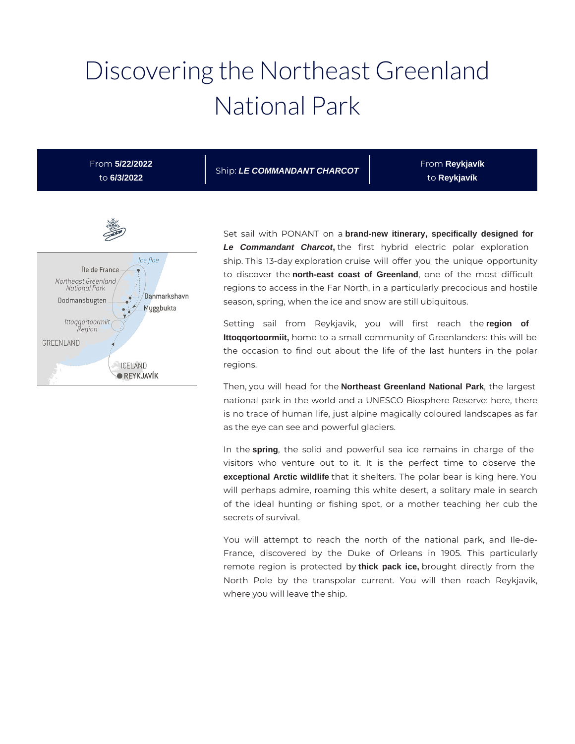# Discovering the Northeast Greenland National Park

From **5/22/2022** to **6/3/2022**

Ship: **LE COMMANDANT CHARCOT**

From **Reykjavík**  to **Reykjavík** 



Set sail with PONANT on a **brand-new itinerary, specifically designed for Le Commandant Charcot,** the first hybrid electric polar exploration ship. This 13-day exploration cruise will offer you the unique opportunity to discover the **north-east coast of Greenland**, one of the most difficult regions to access in the Far North, in a particularly precocious and hostile season, spring, when the ice and snow are still ubiquitous.

Setting sail from Reykjavik, you will first reach the **region of Ittoqqortoormiit,** home to a small community of Greenlanders: this will be the occasion to find out about the life of the last hunters in the polar regions.

Then, you will head for the **Northeast Greenland National Park**, the largest national park in the world and a UNESCO Biosphere Reserve: here, there is no trace of human life, just alpine magically coloured landscapes as far as the eye can see and powerful glaciers.

In the **spring**, the solid and powerful sea ice remains in charge of the visitors who venture out to it. It is the perfect time to observe the **exceptional Arctic wildlife** that it shelters. The polar bear is king here. You will perhaps admire, roaming this white desert, a solitary male in search of the ideal hunting or fishing spot, or a mother teaching her cub the secrets of survival.

You will attempt to reach the north of the national park, and Ile-de-France, discovered by the Duke of Orleans in 1905. This particularly remote region is protected by **thick pack ice,** brought directly from the North Pole by the transpolar current. You will then reach Reykjavik, where you will leave the ship.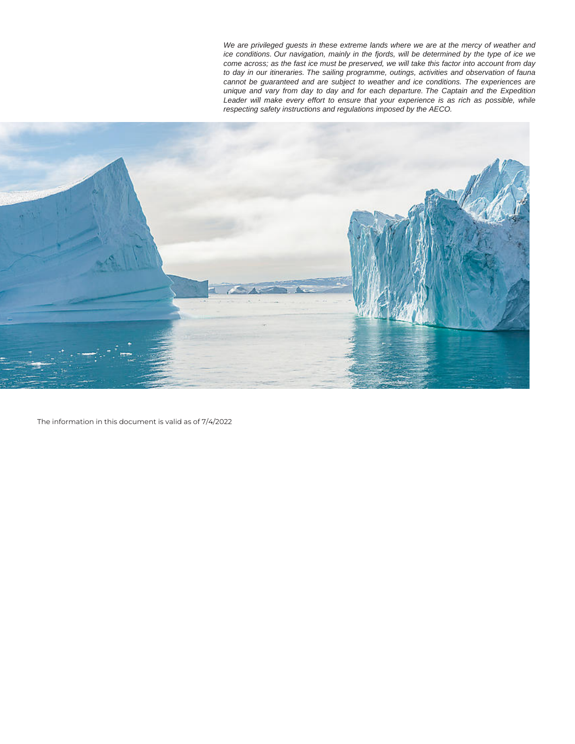We are privileged guests in these extreme lands where we are at the mercy of weather and ice conditions. Our navigation, mainly in the fjords, will be determined by the type of ice we come across; as the fast ice must be preserved, we will take this factor into account from day to day in our itineraries. The sailing programme, outings, activities and observation of fauna cannot be guaranteed and are subject to weather and ice conditions. The experiences are unique and vary from day to day and for each departure. The Captain and the Expedition Leader will make every effort to ensure that your experience is as rich as possible, while respecting safety instructions and regulations imposed by the AECO.



The information in this document is valid as of 7/4/2022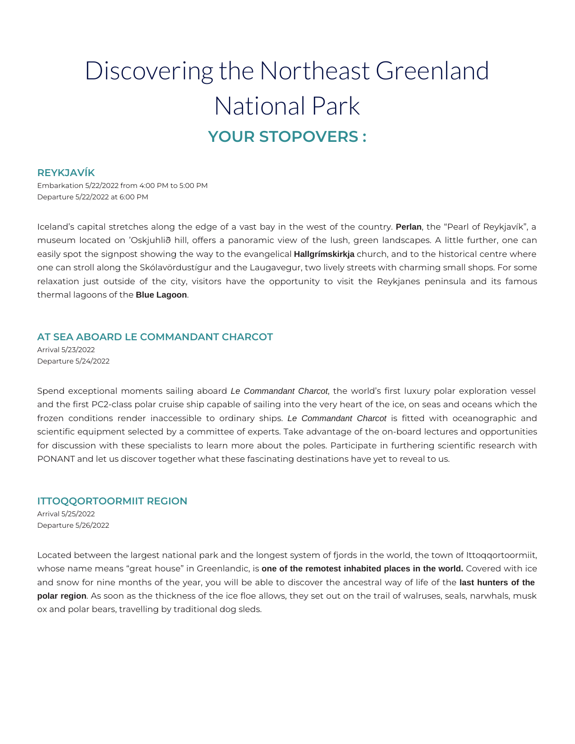# Discovering the Northeast Greenland National Park **YOUR STOPOVERS :**

#### **REYKJAVÍK**

Embarkation 5/22/2022 from 4:00 PM to 5:00 PM Departure 5/22/2022 at 6:00 PM

Iceland's capital stretches along the edge of a vast bay in the west of the country. **Perlan**, the "Pearl of Reykjavík", a museum located on 'Oskjuhlið hill, offers a panoramic view of the lush, green landscapes. A little further, one can easily spot the signpost showing the way to the evangelical **Hallgrímskirkja** church, and to the historical centre where one can stroll along the Skólavördustígur and the Laugavegur, two lively streets with charming small shops. For some relaxation just outside of the city, visitors have the opportunity to visit the Reykjanes peninsula and its famous thermal lagoons of the **Blue Lagoon**.

# **AT SEA ABOARD LE COMMANDANT CHARCOT**

Arrival 5/23/2022 Departure 5/24/2022

Spend exceptional moments sailing aboard Le Commandant Charcot, the world's first luxury polar exploration vessel and the first PC2-class polar cruise ship capable of sailing into the very heart of the ice, on seas and oceans which the frozen conditions render inaccessible to ordinary ships. Le Commandant Charcot is fitted with oceanographic and scientific equipment selected by a committee of experts. Take advantage of the on-board lectures and opportunities for discussion with these specialists to learn more about the poles. Participate in furthering scientific research with PONANT and let us discover together what these fascinating destinations have yet to reveal to us.

# **ITTOQQORTOORMIIT REGION**

Arrival 5/25/2022 Departure 5/26/2022

Located between the largest national park and the longest system of fjords in the world, the town of Ittoqqortoormiit, whose name means "great house" in Greenlandic, is **one of the remotest inhabited places in the world.** Covered with ice and snow for nine months of the year, you will be able to discover the ancestral way of life of the **last hunters of the polar region**. As soon as the thickness of the ice floe allows, they set out on the trail of walruses, seals, narwhals, musk ox and polar bears, travelling by traditional dog sleds.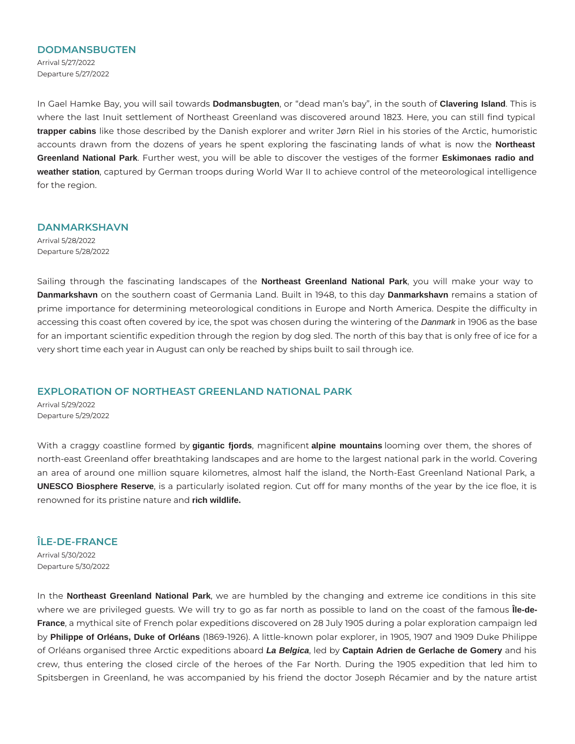#### **DODMANSBUGTEN**

Arrival 5/27/2022 Departure 5/27/2022

In Gael Hamke Bay, you will sail towards **Dodmansbugten**, or "dead man's bay", in the south of **Clavering Island**. This is where the last Inuit settlement of Northeast Greenland was discovered around 1823. Here, you can still find typical **trapper cabins** like those described by the Danish explorer and writer Jørn Riel in his stories of the Arctic, humoristic accounts drawn from the dozens of years he spent exploring the fascinating lands of what is now the **Northeast Greenland National Park**. Further west, you will be able to discover the vestiges of the former **Eskimonaes radio and weather station**, captured by German troops during World War II to achieve control of the meteorological intelligence for the region.

#### **DANMARKSHAVN**

Arrival 5/28/2022 Departure 5/28/2022

Sailing through the fascinating landscapes of the **Northeast Greenland National Park**, you will make your way to **Danmarkshavn** on the southern coast of Germania Land. Built in 1948, to this day **Danmarkshavn** remains a station of prime importance for determining meteorological conditions in Europe and North America. Despite the difficulty in accessing this coast often covered by ice, the spot was chosen during the wintering of the Danmark in 1906 as the base for an important scientific expedition through the region by dog sled. The north of this bay that is only free of ice for a very short time each year in August can only be reached by ships built to sail through ice.

# **EXPLORATION OF NORTHEAST GREENLAND NATIONAL PARK**

Arrival 5/29/2022 Departure 5/29/2022

With a craggy coastline formed by **gigantic fjords**, magnificent **alpine mountains** looming over them, the shores of north-east Greenland offer breathtaking landscapes and are home to the largest national park in the world. Covering an area of around one million square kilometres, almost half the island, the North-East Greenland National Park, a **UNESCO Biosphere Reserve**, is a particularly isolated region. Cut off for many months of the year by the ice floe, it is renowned for its pristine nature and **rich wildlife.**

# **ÎLE-DE-FRANCE**

Arrival 5/30/2022 Departure 5/30/2022

In the **Northeast Greenland National Park**, we are humbled by the changing and extreme ice conditions in this site where we are privileged guests. We will try to go as far north as possible to land on the coast of the famous **Île-de-France**, a mythical site of French polar expeditions discovered on 28 July 1905 during a polar exploration campaign led by **Philippe of Orléans, Duke of Orléans** (1869-1926). A little-known polar explorer, in 1905, 1907 and 1909 Duke Philippe of Orléans organised three Arctic expeditions aboard **La Belgica**, led by **Captain Adrien de Gerlache de Gomery** and his crew, thus entering the closed circle of the heroes of the Far North. During the 1905 expedition that led him to Spitsbergen in Greenland, he was accompanied by his friend the doctor Joseph Récamier and by the nature artist